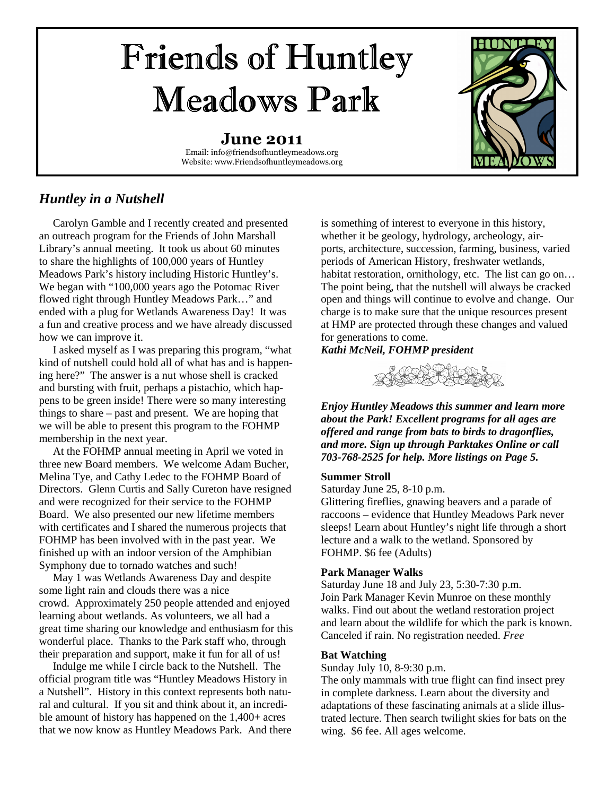# Friends of Huntley Meadows Park

**June 2011**  Email: info@friendsofhuntleymeadows.org Website: www.Friendsofhuntleymeadows.org



### *Huntley in a Nutshell*

 Carolyn Gamble and I recently created and presented an outreach program for the Friends of John Marshall Library's annual meeting. It took us about 60 minutes to share the highlights of 100,000 years of Huntley Meadows Park's history including Historic Huntley's. We began with "100,000 years ago the Potomac River flowed right through Huntley Meadows Park…" and ended with a plug for Wetlands Awareness Day! It was a fun and creative process and we have already discussed how we can improve it.

 I asked myself as I was preparing this program, "what kind of nutshell could hold all of what has and is happening here?" The answer is a nut whose shell is cracked and bursting with fruit, perhaps a pistachio, which happens to be green inside! There were so many interesting things to share – past and present. We are hoping that we will be able to present this program to the FOHMP membership in the next year.

 At the FOHMP annual meeting in April we voted in three new Board members. We welcome Adam Bucher, Melina Tye, and Cathy Ledec to the FOHMP Board of Directors. Glenn Curtis and Sally Cureton have resigned and were recognized for their service to the FOHMP Board. We also presented our new lifetime members with certificates and I shared the numerous projects that FOHMP has been involved with in the past year. We finished up with an indoor version of the Amphibian Symphony due to tornado watches and such!

 May 1 was Wetlands Awareness Day and despite some light rain and clouds there was a nice crowd. Approximately 250 people attended and enjoyed learning about wetlands. As volunteers, we all had a great time sharing our knowledge and enthusiasm for this wonderful place. Thanks to the Park staff who, through their preparation and support, make it fun for all of us!

 Indulge me while I circle back to the Nutshell. The official program title was "Huntley Meadows History in a Nutshell". History in this context represents both natural and cultural. If you sit and think about it, an incredible amount of history has happened on the 1,400+ acres that we now know as Huntley Meadows Park. And there

is something of interest to everyone in this history, whether it be geology, hydrology, archeology, airports, architecture, succession, farming, business, varied periods of American History, freshwater wetlands, habitat restoration, ornithology, etc. The list can go on... The point being, that the nutshell will always be cracked open and things will continue to evolve and change. Our charge is to make sure that the unique resources present at HMP are protected through these changes and valued for generations to come.

#### *Kathi McNeil, FOHMP president*



*Enjoy Huntley Meadows this summer and learn more about the Park! Excellent programs for all ages are offered and range from bats to birds to dragonflies, and more. Sign up through Parktakes Online or call 703-768-2525 for help. More listings on Page 5.* 

#### **Summer Stroll**

Saturday June 25, 8-10 p.m.

Glittering fireflies, gnawing beavers and a parade of raccoons – evidence that Huntley Meadows Park never sleeps! Learn about Huntley's night life through a short lecture and a walk to the wetland. Sponsored by FOHMP. \$6 fee (Adults)

#### **Park Manager Walks**

Saturday June 18 and July 23, 5:30-7:30 p.m. Join Park Manager Kevin Munroe on these monthly walks. Find out about the wetland restoration project and learn about the wildlife for which the park is known. Canceled if rain. No registration needed. *Free* 

#### **Bat Watching**

Sunday July 10, 8-9:30 p.m.

The only mammals with true flight can find insect prey in complete darkness. Learn about the diversity and adaptations of these fascinating animals at a slide illustrated lecture. Then search twilight skies for bats on the wing. \$6 fee. All ages welcome.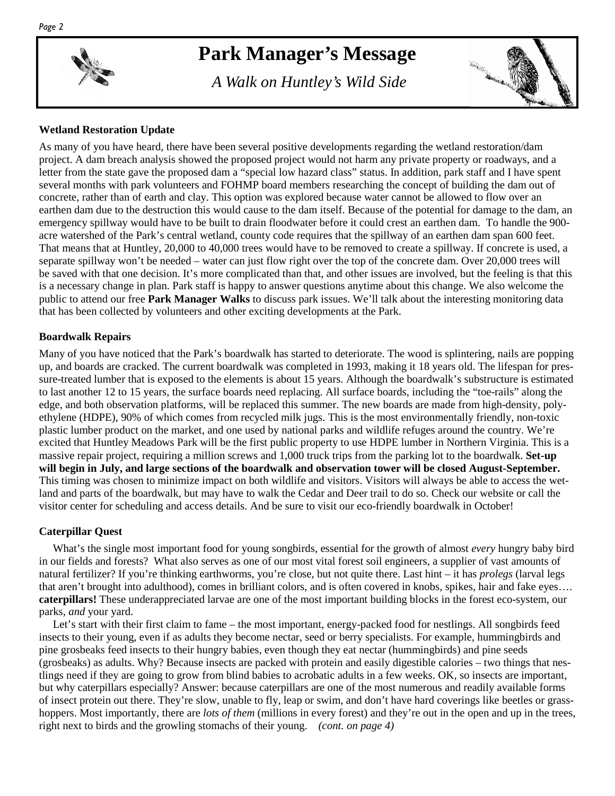

### **Park Manager's Message**

 *A Walk on Huntley's Wild Side* 



#### **Wetland Restoration Update**

As many of you have heard, there have been several positive developments regarding the wetland restoration/dam project. A dam breach analysis showed the proposed project would not harm any private property or roadways, and a letter from the state gave the proposed dam a "special low hazard class" status. In addition, park staff and I have spent several months with park volunteers and FOHMP board members researching the concept of building the dam out of concrete, rather than of earth and clay. This option was explored because water cannot be allowed to flow over an earthen dam due to the destruction this would cause to the dam itself. Because of the potential for damage to the dam, an emergency spillway would have to be built to drain floodwater before it could crest an earthen dam. To handle the 900 acre watershed of the Park's central wetland, county code requires that the spillway of an earthen dam span 600 feet. That means that at Huntley, 20,000 to 40,000 trees would have to be removed to create a spillway. If concrete is used, a separate spillway won't be needed – water can just flow right over the top of the concrete dam. Over 20,000 trees will be saved with that one decision. It's more complicated than that, and other issues are involved, but the feeling is that this is a necessary change in plan. Park staff is happy to answer questions anytime about this change. We also welcome the public to attend our free **Park Manager Walks** to discuss park issues. We'll talk about the interesting monitoring data that has been collected by volunteers and other exciting developments at the Park.

#### **Boardwalk Repairs**

Many of you have noticed that the Park's boardwalk has started to deteriorate. The wood is splintering, nails are popping up, and boards are cracked. The current boardwalk was completed in 1993, making it 18 years old. The lifespan for pressure-treated lumber that is exposed to the elements is about 15 years. Although the boardwalk's substructure is estimated to last another 12 to 15 years, the surface boards need replacing. All surface boards, including the "toe-rails" along the edge, and both observation platforms, will be replaced this summer. The new boards are made from high-density, polyethylene (HDPE), 90% of which comes from recycled milk jugs. This is the most environmentally friendly, non-toxic plastic lumber product on the market, and one used by national parks and wildlife refuges around the country. We're excited that Huntley Meadows Park will be the first public property to use HDPE lumber in Northern Virginia. This is a massive repair project, requiring a million screws and 1,000 truck trips from the parking lot to the boardwalk. **Set-up will begin in July, and large sections of the boardwalk and observation tower will be closed August-September.** This timing was chosen to minimize impact on both wildlife and visitors. Visitors will always be able to access the wetland and parts of the boardwalk, but may have to walk the Cedar and Deer trail to do so. Check our website or call the visitor center for scheduling and access details. And be sure to visit our eco-friendly boardwalk in October!

#### **Caterpillar Quest**

 What's the single most important food for young songbirds, essential for the growth of almost *every* hungry baby bird in our fields and forests? What also serves as one of our most vital forest soil engineers, a supplier of vast amounts of natural fertilizer? If you're thinking earthworms, you're close, but not quite there. Last hint – it has *prolegs* (larval legs that aren't brought into adulthood), comes in brilliant colors, and is often covered in knobs, spikes, hair and fake eyes…. **caterpillars!** These underappreciated larvae are one of the most important building blocks in the forest eco-system, our parks, *and* your yard.

 Let's start with their first claim to fame – the most important, energy-packed food for nestlings. All songbirds feed insects to their young, even if as adults they become nectar, seed or berry specialists. For example, hummingbirds and pine grosbeaks feed insects to their hungry babies, even though they eat nectar (hummingbirds) and pine seeds (grosbeaks) as adults. Why? Because insects are packed with protein and easily digestible calories – two things that nestlings need if they are going to grow from blind babies to acrobatic adults in a few weeks. OK, so insects are important, but why caterpillars especially? Answer: because caterpillars are one of the most numerous and readily available forms of insect protein out there. They're slow, unable to fly, leap or swim, and don't have hard coverings like beetles or grasshoppers. Most importantly, there are *lots of them* (millions in every forest) and they're out in the open and up in the trees, right next to birds and the growling stomachs of their young. *(cont. on page 4)*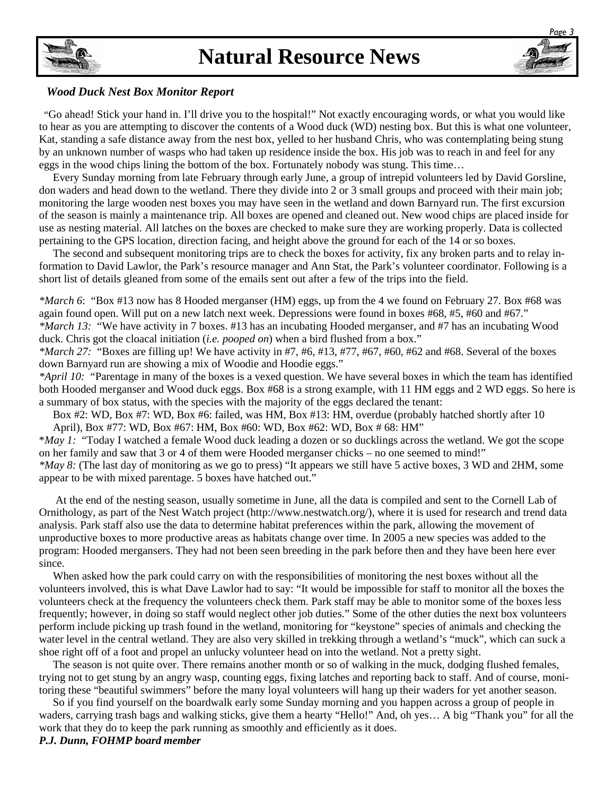### **Natural Resource News**



 "Go ahead! Stick your hand in. I'll drive you to the hospital!" Not exactly encouraging words, or what you would like to hear as you are attempting to discover the contents of a Wood duck (WD) nesting box. But this is what one volunteer, Kat, standing a safe distance away from the nest box, yelled to her husband Chris, who was contemplating being stung by an unknown number of wasps who had taken up residence inside the box. His job was to reach in and feel for any eggs in the wood chips lining the bottom of the box. Fortunately nobody was stung. This time…

 Every Sunday morning from late February through early June, a group of intrepid volunteers led by David Gorsline, don waders and head down to the wetland. There they divide into 2 or 3 small groups and proceed with their main job; monitoring the large wooden nest boxes you may have seen in the wetland and down Barnyard run. The first excursion of the season is mainly a maintenance trip. All boxes are opened and cleaned out. New wood chips are placed inside for use as nesting material. All latches on the boxes are checked to make sure they are working properly. Data is collected pertaining to the GPS location, direction facing, and height above the ground for each of the 14 or so boxes.

 The second and subsequent monitoring trips are to check the boxes for activity, fix any broken parts and to relay information to David Lawlor, the Park's resource manager and Ann Stat, the Park's volunteer coordinator. Following is a short list of details gleaned from some of the emails sent out after a few of the trips into the field.

*\*March 6*: "Box #13 now has 8 Hooded merganser (HM) eggs, up from the 4 we found on February 27. Box #68 was again found open. Will put on a new latch next week. Depressions were found in boxes #68, #5, #60 and #67." *\*March 13:* "We have activity in 7 boxes. #13 has an incubating Hooded merganser, and #7 has an incubating Wood duck. Chris got the cloacal initiation (*i.e. pooped on*) when a bird flushed from a box."

*\*March 27:* "Boxes are filling up! We have activity in #7, #6, #13, #77, #67, #60, #62 and #68. Several of the boxes down Barnyard run are showing a mix of Woodie and Hoodie eggs."

*\*April 10:* "Parentage in many of the boxes is a vexed question. We have several boxes in which the team has identified both Hooded merganser and Wood duck eggs. Box #68 is a strong example, with 11 HM eggs and 2 WD eggs. So here is a summary of box status, with the species with the majority of the eggs declared the tenant:

 Box #2: WD, Box #7: WD, Box #6: failed, was HM, Box #13: HM, overdue (probably hatched shortly after 10 April), Box #77: WD, Box #67: HM, Box #60: WD, Box #62: WD, Box # 68: HM"

\**May 1:* "Today I watched a female Wood duck leading a dozen or so ducklings across the wetland. We got the scope on her family and saw that 3 or 4 of them were Hooded merganser chicks – no one seemed to mind!"

*\*May 8:* (The last day of monitoring as we go to press) "It appears we still have 5 active boxes, 3 WD and 2HM, some appear to be with mixed parentage. 5 boxes have hatched out."

 At the end of the nesting season, usually sometime in June, all the data is compiled and sent to the Cornell Lab of Ornithology, as part of the Nest Watch project (http://www.nestwatch.org/), where it is used for research and trend data analysis. Park staff also use the data to determine habitat preferences within the park, allowing the movement of unproductive boxes to more productive areas as habitats change over time. In 2005 a new species was added to the program: Hooded mergansers. They had not been seen breeding in the park before then and they have been here ever since.

 When asked how the park could carry on with the responsibilities of monitoring the nest boxes without all the volunteers involved, this is what Dave Lawlor had to say: "It would be impossible for staff to monitor all the boxes the volunteers check at the frequency the volunteers check them. Park staff may be able to monitor some of the boxes less frequently; however, in doing so staff would neglect other job duties." Some of the other duties the next box volunteers perform include picking up trash found in the wetland, monitoring for "keystone" species of animals and checking the water level in the central wetland. They are also very skilled in trekking through a wetland's "muck", which can suck a shoe right off of a foot and propel an unlucky volunteer head on into the wetland. Not a pretty sight.

 The season is not quite over. There remains another month or so of walking in the muck, dodging flushed females, trying not to get stung by an angry wasp, counting eggs, fixing latches and reporting back to staff. And of course, monitoring these "beautiful swimmers" before the many loyal volunteers will hang up their waders for yet another season.

 So if you find yourself on the boardwalk early some Sunday morning and you happen across a group of people in waders, carrying trash bags and walking sticks, give them a hearty "Hello!" And, oh yes… A big "Thank you" for all the work that they do to keep the park running as smoothly and efficiently as it does.

#### *P.J. Dunn, FOHMP board member*

*Page 3* 

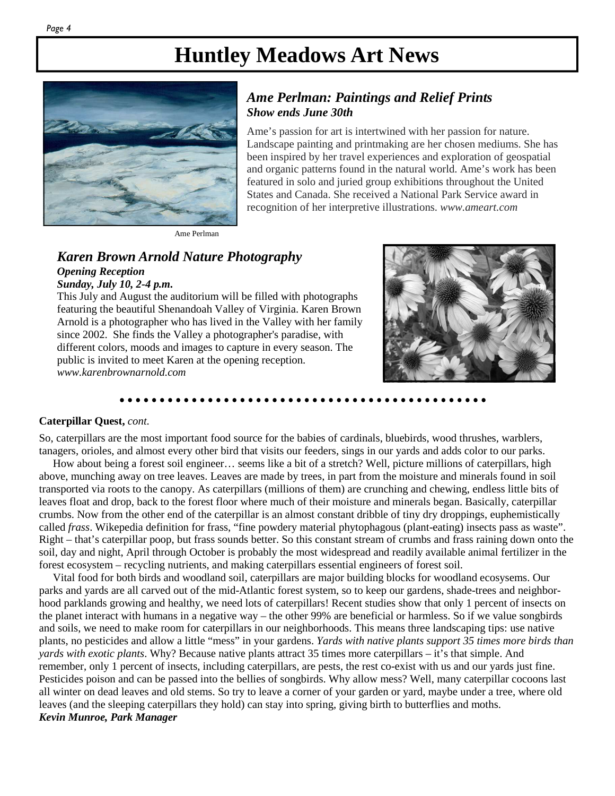

#### *Ame Perlman: Paintings and Relief Prints Show ends June 30th*

Ame's passion for art is intertwined with her passion for nature. Landscape painting and printmaking are her chosen mediums. She has been inspired by her travel experiences and exploration of geospatial and organic patterns found in the natural world. Ame's work has been featured in solo and juried group exhibitions throughout the United States and Canada. She received a National Park Service award in recognition of her interpretive illustrations. *www.ameart.com*

Ame Perlman

#### *Karen Brown Arnold Nature Photography Opening Reception*

#### *Sunday, July 10, 2-4 p.m.*

This July and August the auditorium will be filled with photographs featuring the beautiful Shenandoah Valley of Virginia. Karen Brown Arnold is a photographer who has lived in the Valley with her family since 2002. She finds the Valley a photographer's paradise, with different colors, moods and images to capture in every season. The public is invited to meet Karen at the opening reception. *www.karenbrownarnold.com* 



#### **Caterpillar Quest,** *cont.*

So, caterpillars are the most important food source for the babies of cardinals, bluebirds, wood thrushes, warblers, tanagers, orioles, and almost every other bird that visits our feeders, sings in our yards and adds color to our parks.

 How about being a forest soil engineer… seems like a bit of a stretch? Well, picture millions of caterpillars, high above, munching away on tree leaves. Leaves are made by trees, in part from the moisture and minerals found in soil transported via roots to the canopy. As caterpillars (millions of them) are crunching and chewing, endless little bits of leaves float and drop, back to the forest floor where much of their moisture and minerals began. Basically, caterpillar crumbs. Now from the other end of the caterpillar is an almost constant dribble of tiny dry droppings, euphemistically called *frass*. Wikepedia definition for frass, "fine powdery material phytophagous (plant-eating) insects pass as waste". Right – that's caterpillar poop, but frass sounds better. So this constant stream of crumbs and frass raining down onto the soil, day and night, April through October is probably the most widespread and readily available animal fertilizer in the forest ecosystem – recycling nutrients, and making caterpillars essential engineers of forest soil.

 Vital food for both birds and woodland soil, caterpillars are major building blocks for woodland ecosysems. Our parks and yards are all carved out of the mid-Atlantic forest system, so to keep our gardens, shade-trees and neighborhood parklands growing and healthy, we need lots of caterpillars! Recent studies show that only 1 percent of insects on the planet interact with humans in a negative way – the other 99% are beneficial or harmless. So if we value songbirds and soils, we need to make room for caterpillars in our neighborhoods. This means three landscaping tips: use native plants, no pesticides and allow a little "mess" in your gardens. *Yards with native plants support 35 times more birds than yards with exotic plants*. Why? Because native plants attract 35 times more caterpillars – it's that simple. And remember, only 1 percent of insects, including caterpillars, are pests, the rest co-exist with us and our yards just fine. Pesticides poison and can be passed into the bellies of songbirds. Why allow mess? Well, many caterpillar cocoons last all winter on dead leaves and old stems. So try to leave a corner of your garden or yard, maybe under a tree, where old leaves (and the sleeping caterpillars they hold) can stay into spring, giving birth to butterflies and moths. *Kevin Munroe, Park Manager*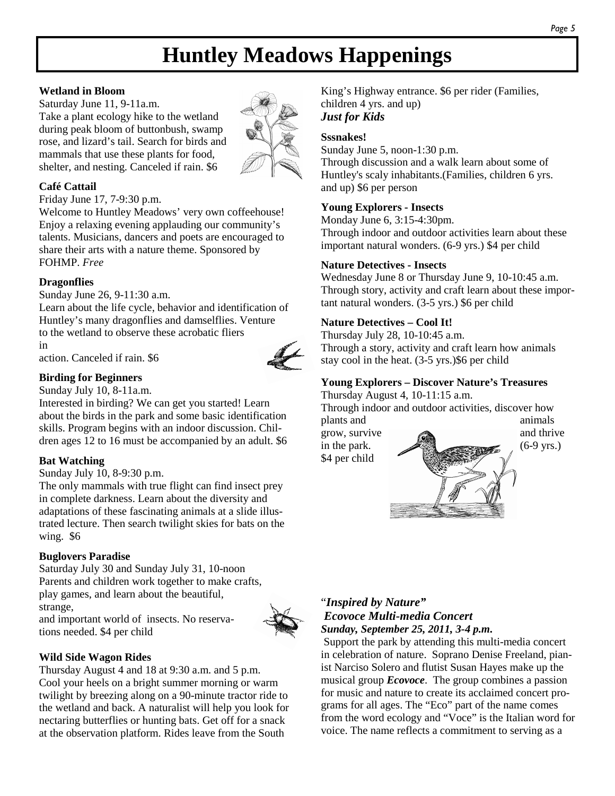## **Huntley Meadows Happenings**

#### **Wetland in Bloom**

Saturday June 11, 9-11a.m. Take a plant ecology hike to the wetland during peak bloom of buttonbush, swamp rose, and lizard's tail. Search for birds and mammals that use these plants for food, shelter, and nesting. Canceled if rain. \$6



#### **Café Cattail**

Friday June 17, 7-9:30 p.m.

Welcome to Huntley Meadows' very own coffeehouse! Enjoy a relaxing evening applauding our community's talents. Musicians, dancers and poets are encouraged to share their arts with a nature theme. Sponsored by FOHMP. *Free* 

#### **Dragonflies**

Sunday June 26, 9-11:30 a.m.

Learn about the life cycle, behavior and identification of Huntley's many dragonflies and damselflies. Venture to the wetland to observe these acrobatic fliers in

action. Canceled if rain. \$6



Sunday July 10, 8-11a.m.

Interested in birding? We can get you started! Learn about the birds in the park and some basic identification skills. Program begins with an indoor discussion. Children ages 12 to 16 must be accompanied by an adult. \$6

#### **Bat Watching**

Sunday July 10, 8-9:30 p.m.

The only mammals with true flight can find insect prey in complete darkness. Learn about the diversity and adaptations of these fascinating animals at a slide illustrated lecture. Then search twilight skies for bats on the wing. \$6

#### **Buglovers Paradise**

Saturday July 30 and Sunday July 31, 10-noon Parents and children work together to make crafts, play games, and learn about the beautiful, strange,

and important world of insects. No reservations needed. \$4 per child



#### **Wild Side Wagon Rides**

Thursday August 4 and 18 at 9:30 a.m. and 5 p.m. Cool your heels on a bright summer morning or warm twilight by breezing along on a 90-minute tractor ride to the wetland and back. A naturalist will help you look for nectaring butterflies or hunting bats. Get off for a snack at the observation platform. Rides leave from the South

King's Highway entrance. \$6 per rider (Families, children 4 yrs. and up) *Just for Kids* 

#### **Sssnakes!**

Sunday June 5, noon-1:30 p.m. Through discussion and a walk learn about some of Huntley's scaly inhabitants.(Families, children 6 yrs. and up) \$6 per person

#### **Young Explorers - Insects**

Monday June 6, 3:15-4:30pm. Through indoor and outdoor activities learn about these important natural wonders. (6-9 yrs.) \$4 per child

#### **Nature Detectives - Insects**

Wednesday June 8 or Thursday June 9, 10-10:45 a.m. Through story, activity and craft learn about these important natural wonders. (3-5 yrs.) \$6 per child

#### **Nature Detectives – Cool It!**

Thursday July 28, 10-10:45 a.m. Through a story, activity and craft learn how animals stay cool in the heat. (3-5 yrs.)\$6 per child

#### **Young Explorers – Discover Nature's Treasures**

Thursday August 4, 10-11:15 a.m.

Through indoor and outdoor activities, discover how plants and animals

\$4 per child



#### "*Inspired by Nature" Ecovoce Multi-media Concert Sunday, September 25, 2011, 3-4 p.m.*

 Support the park by attending this multi-media concert in celebration of nature. Soprano Denise Freeland, pianist Narciso Solero and flutist Susan Hayes make up the musical group *Ecovoce*. The group combines a passion for music and nature to create its acclaimed concert programs for all ages. The "Eco" part of the name comes from the word ecology and "Voce" is the Italian word for voice. The name reflects a commitment to serving as a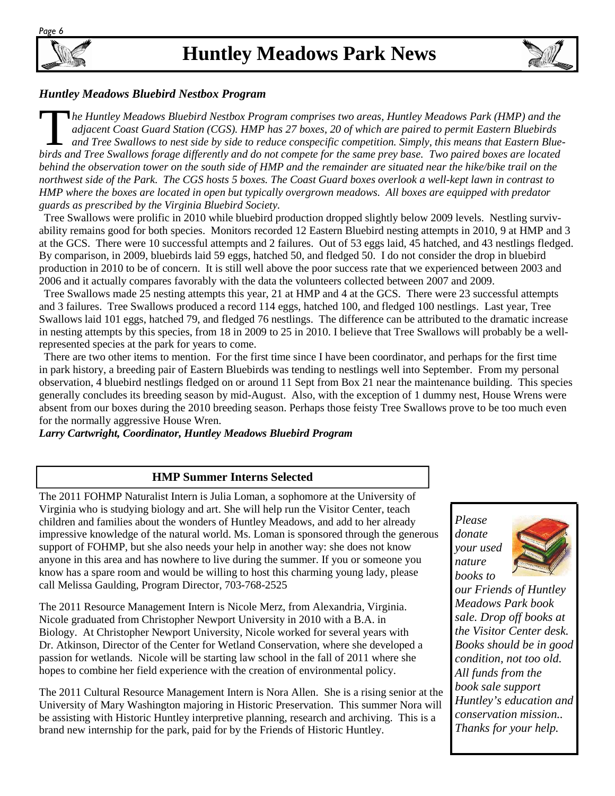



#### *Huntley Meadows Bluebird Nestbox Program*

T *he Huntley Meadows Bluebird Nestbox Program comprises two areas, Huntley Meadows Park (HMP) and the adjacent Coast Guard Station (CGS). HMP has 27 boxes, 20 of which are paired to permit Eastern Bluebirds and Tree Swallows to nest side by side to reduce conspecific competition. Simply, this means that Eastern Bluebirds and Tree Swallows forage differently and do not compete for the same prey base. Two paired boxes are located behind the observation tower on the south side of HMP and the remainder are situated near the hike/bike trail on the northwest side of the Park. The CGS hosts 5 boxes. The Coast Guard boxes overlook a well-kept lawn in contrast to HMP where the boxes are located in open but typically overgrown meadows. All boxes are equipped with predator guards as prescribed by the Virginia Bluebird Society.*

 Tree Swallows were prolific in 2010 while bluebird production dropped slightly below 2009 levels. Nestling survivability remains good for both species. Monitors recorded 12 Eastern Bluebird nesting attempts in 2010, 9 at HMP and 3 at the GCS. There were 10 successful attempts and 2 failures. Out of 53 eggs laid, 45 hatched, and 43 nestlings fledged. By comparison, in 2009, bluebirds laid 59 eggs, hatched 50, and fledged 50. I do not consider the drop in bluebird production in 2010 to be of concern. It is still well above the poor success rate that we experienced between 2003 and 2006 and it actually compares favorably with the data the volunteers collected between 2007 and 2009.

 Tree Swallows made 25 nesting attempts this year, 21 at HMP and 4 at the GCS. There were 23 successful attempts and 3 failures. Tree Swallows produced a record 114 eggs, hatched 100, and fledged 100 nestlings. Last year, Tree Swallows laid 101 eggs, hatched 79, and fledged 76 nestlings. The difference can be attributed to the dramatic increase in nesting attempts by this species, from 18 in 2009 to 25 in 2010. I believe that Tree Swallows will probably be a wellrepresented species at the park for years to come.

 There are two other items to mention. For the first time since I have been coordinator, and perhaps for the first time in park history, a breeding pair of Eastern Bluebirds was tending to nestlings well into September. From my personal observation, 4 bluebird nestlings fledged on or around 11 Sept from Box 21 near the maintenance building. This species generally concludes its breeding season by mid-August. Also, with the exception of 1 dummy nest, House Wrens were absent from our boxes during the 2010 breeding season. Perhaps those feisty Tree Swallows prove to be too much even for the normally aggressive House Wren.

*Larry Cartwright, Coordinator, Huntley Meadows Bluebird Program* 

#### **HMP Summer Interns Selected**

The 2011 FOHMP Naturalist Intern is Julia Loman, a sophomore at the University of Virginia who is studying biology and art. She will help run the Visitor Center, teach children and families about the wonders of Huntley Meadows, and add to her already impressive knowledge of the natural world. Ms. Loman is sponsored through the generous support of FOHMP, but she also needs your help in another way: she does not know anyone in this area and has nowhere to live during the summer. If you or someone you know has a spare room and would be willing to host this charming young lady, please call Melissa Gaulding, Program Director, 703-768-2525

The 2011 Resource Management Intern is Nicole Merz, from Alexandria, Virginia. Nicole graduated from Christopher Newport University in 2010 with a B.A. in Biology. At Christopher Newport University, Nicole worked for several years with Dr. Atkinson, Director of the Center for Wetland Conservation, where she developed a passion for wetlands. Nicole will be starting law school in the fall of 2011 where she hopes to combine her field experience with the creation of environmental policy.

The 2011 Cultural Resource Management Intern is Nora Allen. She is a rising senior at the University of Mary Washington majoring in Historic Preservation. This summer Nora will be assisting with Historic Huntley interpretive planning, research and archiving. This is a brand new internship for the park, paid for by the Friends of Historic Huntley.

*Please donate your used nature books to* 



*our Friends of Huntley Meadows Park book sale. Drop off books at the Visitor Center desk. Books should be in good condition, not too old. All funds from the book sale support Huntley's education and conservation mission.. Thanks for your help.*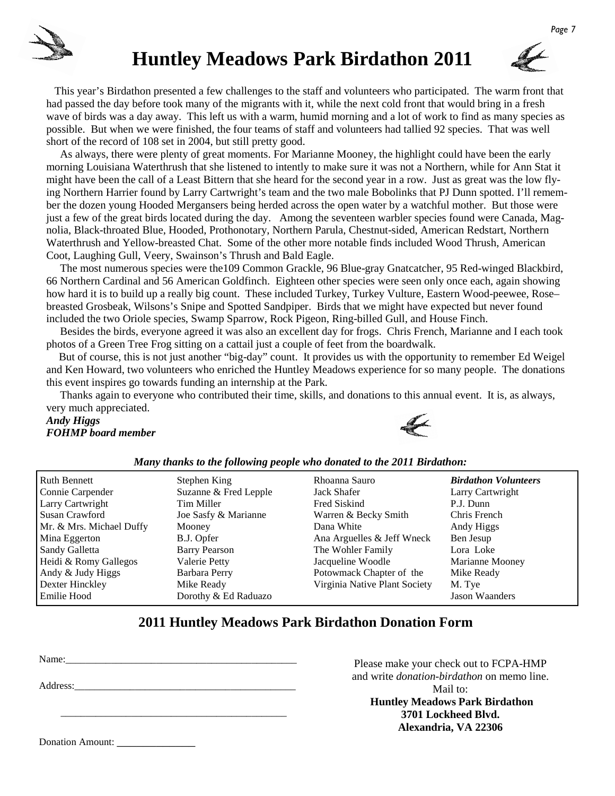

### **Huntley Meadows Park Birdathon 2011**



 This year's Birdathon presented a few challenges to the staff and volunteers who participated. The warm front that had passed the day before took many of the migrants with it, while the next cold front that would bring in a fresh wave of birds was a day away. This left us with a warm, humid morning and a lot of work to find as many species as possible. But when we were finished, the four teams of staff and volunteers had tallied 92 species. That was well short of the record of 108 set in 2004, but still pretty good.

 As always, there were plenty of great moments. For Marianne Mooney, the highlight could have been the early morning Louisiana Waterthrush that she listened to intently to make sure it was not a Northern, while for Ann Stat it might have been the call of a Least Bittern that she heard for the second year in a row. Just as great was the low flying Northern Harrier found by Larry Cartwright's team and the two male Bobolinks that PJ Dunn spotted. I'll remember the dozen young Hooded Mergansers being herded across the open water by a watchful mother. But those were just a few of the great birds located during the day. Among the seventeen warbler species found were Canada, Magnolia, Black-throated Blue, Hooded, Prothonotary, Northern Parula, Chestnut-sided, American Redstart, Northern Waterthrush and Yellow-breasted Chat. Some of the other more notable finds included Wood Thrush, American Coot, Laughing Gull, Veery, Swainson's Thrush and Bald Eagle.

 The most numerous species were the109 Common Grackle, 96 Blue-gray Gnatcatcher, 95 Red-winged Blackbird, 66 Northern Cardinal and 56 American Goldfinch. Eighteen other species were seen only once each, again showing how hard it is to build up a really big count. These included Turkey, Turkey Vulture, Eastern Wood-peewee, Rose– breasted Grosbeak, Wilsons's Snipe and Spotted Sandpiper. Birds that we might have expected but never found included the two Oriole species, Swamp Sparrow, Rock Pigeon, Ring-billed Gull, and House Finch.

 Besides the birds, everyone agreed it was also an excellent day for frogs. Chris French, Marianne and I each took photos of a Green Tree Frog sitting on a cattail just a couple of feet from the boardwalk.

 But of course, this is not just another "big-day" count. It provides us with the opportunity to remember Ed Weigel and Ken Howard, two volunteers who enriched the Huntley Meadows experience for so many people. The donations this event inspires go towards funding an internship at the Park.

 Thanks again to everyone who contributed their time, skills, and donations to this annual event. It is, as always, very much appreciated.

*Andy Higgs FOHMP board member* 

Donation Amount:



|--|

| <b>Ruth Bennett</b>      | Stephen King          | Rhoanna Sauro                 | <b>Birdathon Volunteers</b> |
|--------------------------|-----------------------|-------------------------------|-----------------------------|
| Connie Carpender         | Suzanne & Fred Lepple | Jack Shafer                   | Larry Cartwright            |
| Larry Cartwright         | Tim Miller            | Fred Siskind                  | P.J. Dunn                   |
| Susan Crawford           | Joe Sasfy & Marianne  | Warren & Becky Smith          | Chris French                |
| Mr. & Mrs. Michael Duffy | Mooney                | Dana White                    | Andy Higgs                  |
| Mina Eggerton            | B.J. Opfer            | Ana Arguelles & Jeff Wneck    | Ben Jesup                   |
| Sandy Galletta           | <b>Barry Pearson</b>  | The Wohler Family             | Lora Loke                   |
| Heidi & Romy Gallegos    | Valerie Petty         | Jacqueline Woodle             | Marianne Mooney             |
| Andy & Judy Higgs        | Barbara Perry         | Potowmack Chapter of the      | Mike Ready                  |
| Dexter Hinckley          | Mike Ready            | Virginia Native Plant Society | M. Tye                      |
| Emilie Hood              | Dorothy & Ed Raduazo  |                               | <b>Jason Waanders</b>       |

#### **2011 Huntley Meadows Park Birdathon Donation Form**

| Address: |  |  |
|----------|--|--|
|          |  |  |

Please make your check out to FCPA-HMP and write *donation-birdathon* on memo line. Mail to:  **Huntley Meadows Park Birdathon 3701 Lockheed Blvd. Alexandria, VA 22306**